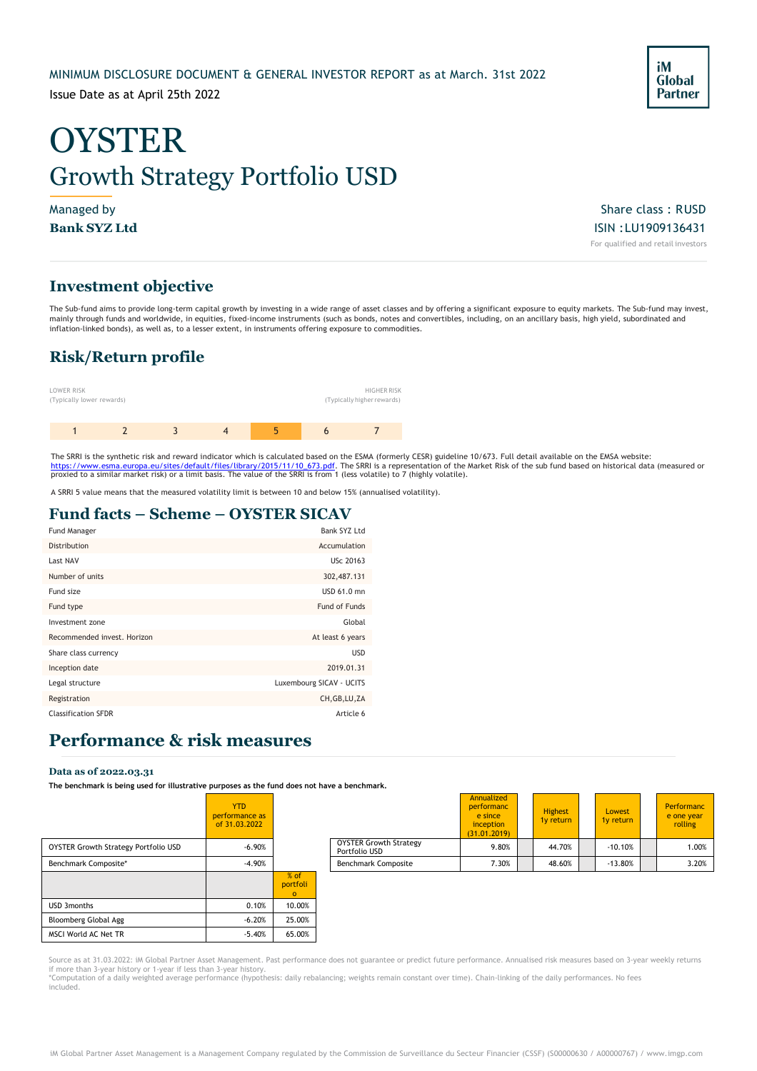### MINIMUM DISCLOSURE DOCUMENT & GENERAL INVESTOR REPORT as at March. 31st 2022

Issue Date as at April 25th 2022

# **OYSTER** Growth Strategy Portfolio USD

Managed by Share class : RUSD  $\blacksquare$ **Bank SYZ Ltd** ISIN :LU1909136431 For qualified and retail investors

### **Investment objective**

The Sub-fund aims to provide long-term capital growth by investing in a wide range of asset classes and by offering a significant exposure to equity markets. The Sub-fund may invest, mainly through funds and worldwide, in equities, fixed-income instruments (such as bonds, notes and convertibles, including, on an ancillary basis, high yield, subordinated and inflation-linked bonds), as well as, to a lesser extent, in instruments offering exposure to commodities.

### **Risk/Return profile**



The SRRI is the synthetic risk and reward indicator which is calculated based on the ESMA (formerly CESR) guideline 10/673. Full detail available on the EMSA website:<br>https://www.esma.europa.eu/sites/default/files/library/

A SRRI 5 value means that the measured volatility limit is between 10 and below 15% (annualised volatility).

### **Fund facts – Scheme – OYSTER SICAV**

| Fund Manager                | Bank SYZ Ltd             |
|-----------------------------|--------------------------|
| Distribution                | Accumulation             |
| Last NAV                    | USc 20163                |
| Number of units             | 302,487.131              |
| Fund size                   | USD 61.0 mn              |
| Fund type                   | Fund of Funds            |
| Investment zone             | Global                   |
| Recommended invest. Horizon | At least 6 years         |
| Share class currency        | <b>USD</b>               |
| Inception date              | 2019.01.31               |
| Legal structure             | Luxembourg SICAV - UCITS |
| Registration                | CH, GB, LU, ZA           |
| <b>Classification SFDR</b>  | Article 6                |

### **Performance & risk measures**

#### **Data as of 2022.03.31**

The benchmark is being used for illustrative purposes as the fund does not have a benchr

|                                             | <b>YTD</b><br>performance as<br>of 31.03.2022 |                              |                                                |
|---------------------------------------------|-----------------------------------------------|------------------------------|------------------------------------------------|
| <b>OYSTER Growth Strategy Portfolio USD</b> | $-6.90%$                                      |                              | <b>OYSTER Growth Strategy</b><br>Portfolio USD |
| Benchmark Composite*                        | $-4.90%$                                      |                              | <b>Benchmark Composite</b>                     |
|                                             |                                               | % of<br>portfoli<br>$\Omega$ |                                                |
| <b>USD 3months</b>                          | 0.10%                                         | 10.00%                       |                                                |
| Bloomberg Global Agg                        | $-6.20%$                                      | 25.00%                       |                                                |
| MSCI World AC Net TR                        | $-5.40%$                                      | 65.00%                       |                                                |

| The penemiant is penig asea for mascracive parposes as ene rand abes not nave a penemiant, |                                               |                   |                                                |                                                                         |  |                             |                     |                                     |
|--------------------------------------------------------------------------------------------|-----------------------------------------------|-------------------|------------------------------------------------|-------------------------------------------------------------------------|--|-----------------------------|---------------------|-------------------------------------|
|                                                                                            | <b>YTD</b><br>performance as<br>of 31.03.2022 |                   |                                                | Annualized<br>performanc<br>e since<br><i>inception</i><br>(31.01.2019) |  | <b>Highest</b><br>1y return | Lowest<br>1y return | Performanc<br>e one year<br>rolling |
| OYSTER Growth Strategy Portfolio USD                                                       | $-6.90%$                                      |                   | <b>OYSTER Growth Strategy</b><br>Portfolio USD | 9.80%                                                                   |  | 44.70%                      | $-10.10%$           | 1.00%                               |
| Benchmark Composite*                                                                       | $-4.90%$                                      |                   | <b>Benchmark Composite</b>                     | 7.30%                                                                   |  | 48.60%                      | $-13.80%$           | 3.20%                               |
|                                                                                            |                                               | $\alpha$ $\alpha$ |                                                |                                                                         |  |                             |                     |                                     |

Source as at 31.03.2022: iM Global Partner Asset Management. Past performance does not guarantee or predict future performance. Annualised risk measures based on 3-year weekly returns if more than 3-year history or 1-year if less than 3-year history.<br>\*Computation of a daily weighted average performance (hypothesis: daily rebalancing; weights remain constant over time). Chain-linking of the daily perform included.

iM **Global Partner**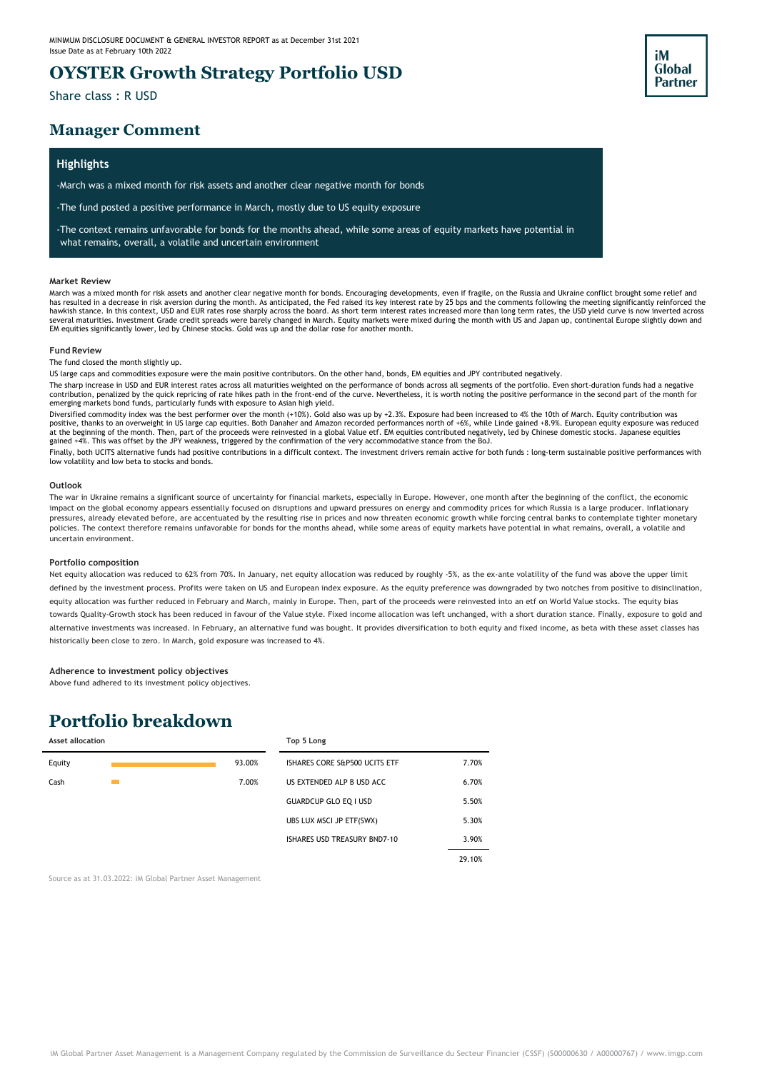### **OYSTER Growth Strategy Portfolio USD**

Share class : R USD

### **Manager Comment**

### **Highlights**

-March was a mixed month for risk assets and another clear negative month for bonds

-The fund posted a positive performance in March, mostly due to US equity exposure

-The context remains unfavorable for bonds for the months ahead, while some areas of equity markets have potential in what remains, overall, a volatile and uncertain environment

#### **Market Review**

March was a mixed month for risk assets and another clear negative month for bonds. Encouraging developments, even if fragile, on the Russia and Ukraine conflict brought some relief and<br>hav resulted in a decrease in risk a several maturities. Investment Grade credit spreads were barely changed in March. Equity markets were mixed during the month with US and Japan up, continental Europe slightly down and EM equities significantly lower, led by Chinese stocks. Gold was up and the dollar rose for another month.

iM **Global Partner** 

#### **Fund Review**

The fund closed the month slightly up.

US large caps and commodities exposure were the main positive contributors. On the other hand, bonds, EM equities and JPY contributed negatively.

The sharp increase in USD and EUR interest rates across all maturities weighted on the performance of bonds across all segments of the portfolio. Even short-duration funds had a negative contribution, penalized by the quick repricing of rate hikes path in the front-end of the curve. Nevertheless, it is worth noting the positive performance in the second part of the month for<br>emerging markets bond funds, pa

Diversified commodity index was the best performer over the month (+10%). Gold also was up by +2.3%. Exposure had been increased to 4% the 10th of March. Equity contribution was positive, thanks to an overweight in US large cap equities. Both Danaher and Amazon recorded performances north of +6%, while Linde gained +8.9%. European equity exposure was reduced<br>at the beginning of the month. Then, pa

Finally, both UCITS alternative funds had positive contributions in a difficult context. The investment drivers remain active for both funds : long-term sustainable positive performances with low volatility and low beta to stocks and bonds.

#### **Outlook**

The war in Ukraine remains a significant source of uncertainty for financial markets, especially in Europe. However, one month after the beginning of the conflict, the economic impact on the global economy appears essentially focused on disruptions and upward pressures on energy and commodity prices for which Russia is a large producer. Inflationary pressures, already elevated before, are accentuated by the resulting rise in prices and now threaten economic growth while forcing central banks to contemplate tighter monetary policies. The context therefore remains unfavorable for bonds for the months ahead, while some areas of equity markets have potential in what remains, overall, a volatile and uncertain environment.

#### **Portfolio composition**

Net equity allocation was reduced to 62% from 70%. In January, net equity allocation was reduced by roughly -5%, as the ex-ante volatility of the fund was above the upper limit defined by the investment process. Profits were taken on US and European index exposure. As the equity preference was downgraded by two notches from positive to disinclination, equity allocation was further reduced in February and March, mainly in Europe. Then, part of the proceeds were reinvested into an etf on World Value stocks. The equity bias towards Quality-Growth stock has been reduced in favour of the Value style. Fixed income allocation was left unchanged, with a short duration stance. Finally, exposure to gold and alternative investments was increased. In February, an alternative fund was bought. It provides diversification to both equity and fixed income, as beta with these asset classes has historically been close to zero. In March, gold exposure was increased to 4%.

#### **Adherence to investment policy objectives**

Above fund adhered to its investment policy objectives.

## **Portfolio breakdown**

| <b>Asset allocation</b> |        | Top 5 Long                    |        |
|-------------------------|--------|-------------------------------|--------|
| Equity                  | 93.00% | ISHARES CORE S&P500 UCITS ETF | 7.70%  |
| Cash                    | 7.00%  | US EXTENDED ALP B USD ACC     | 6.70%  |
|                         |        | <b>GUARDCUP GLO EQ I USD</b>  | 5.50%  |
|                         |        | UBS LUX MSCI JP ETF(SWX)      | 5.30%  |
|                         |        | ISHARES USD TREASURY BND7-10  | 3.90%  |
|                         |        |                               | 29.10% |

Source as at 31.03.2022: iM Global Partner Asset Management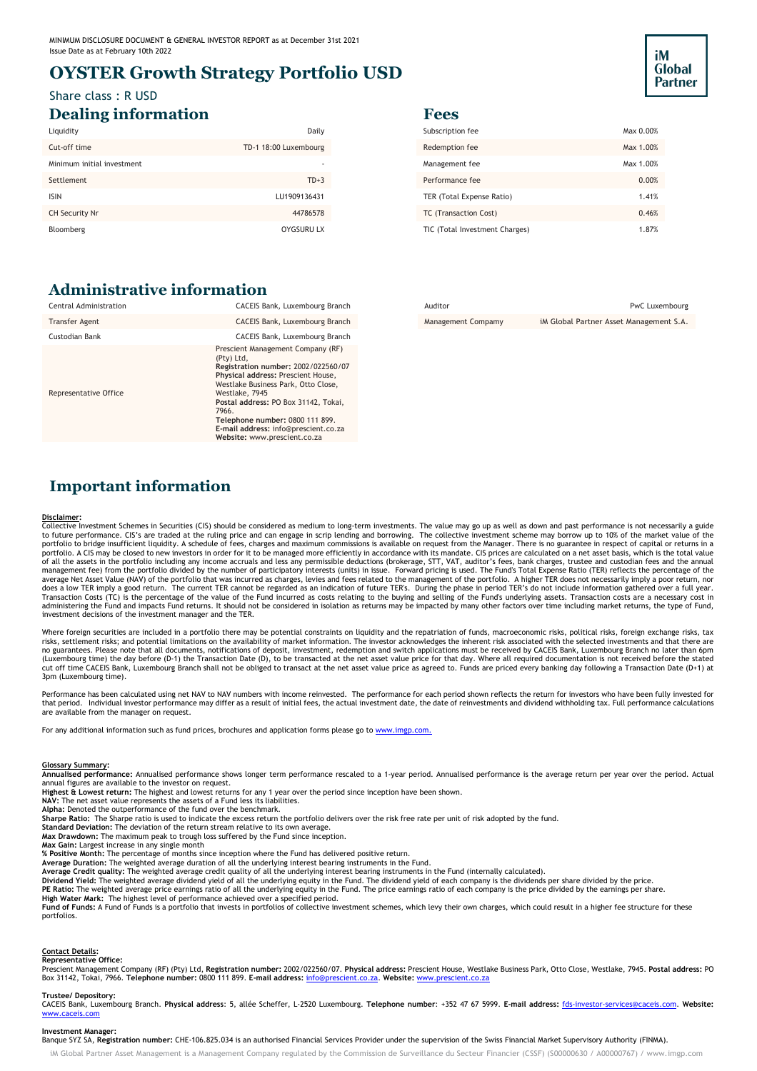### **OYSTER Growth Strategy Portfolio USD**

### Share class : R USD **Dealing information Fees**

| Liquidity                  | Daily                 | Subscription fee               | Max 0.00% |
|----------------------------|-----------------------|--------------------------------|-----------|
| Cut-off time               | TD-1 18:00 Luxembourg | Redemption fee                 | Max 1.00% |
| Minimum initial investment |                       | Management fee                 | Max 1.00% |
| Settlement                 | $TD+3$                | Performance fee                | 0.00%     |
| <b>ISIN</b>                | LU1909136431          | TER (Total Expense Ratio)      | 1.41%     |
| CH Security Nr             | 44786578              | TC (Transaction Cost)          | 0.46%     |
| Bloomberg                  | <b>OYGSURU LX</b>     | TIC (Total Investment Charges) | 1.87%     |

### **Administrative information**

| Subscription fee               | Max 0.00% |
|--------------------------------|-----------|
| Redemption fee                 | Max 1.00% |
| Management fee                 | Max 1.00% |
| Performance fee                | 0.00%     |
| TER (Total Expense Ratio)      | 1.41%     |
| TC (Transaction Cost)          | 0.46%     |
| TIC (Total Investment Charges) | 1.87%     |

iM **Global Partner** 

| Auditor            | PwC Luxembourg                          |
|--------------------|-----------------------------------------|
| Management Compamy | iM Global Partner Asset Management S.A. |

### **Important information**

#### **Disclaimer:**

Collective Investment Schemes in Securities (CIS) should be considered as medium to long-term investments. The value may go up as well as down and past performance is not necessarily a guide<br>to future performance. CIS's ar portfolio. A CIS may be closed to new investors in order for it to be managed more efficiently in accordance with its mandate. CIS prices are calculated on a net asset basis, which is the total value of all the assets in the portfolio including any income accruals and less any permissible deductions (brokerage, STT, VAT, auditor's fees, bank charges, trustee and custodian fees and the annual<br>management fee) from the po does a low TER imply a good return. The current TER cannot be regarded as an indication of future TER's. During the phase in period TER's do not include information gathered over a full year.<br>Transaction Costs (TC) is the administering the Fund and impacts Fund returns. It should not be considered in isolation as returns may be impacted by many other factors over time including market returns, the type of Fund, investment decisions of the investment manager and the TER.

Where foreign securities are included in a portfolio there may be potential constraints on liquidity and the repatriation of funds, macroeconomic risks, political risks, foreign exchange risks, tax risks, settlement risks; and potential limitations on the availability of market information. The investor acknowledges the inherent risk associated with the selected investments and that there are<br>no guarantees. Please no (Luxembourg time) the day before (D-1) the Transaction Date (D), to be transacted at the net asset value price for that day. Where all required documentation is not received before the stated<br>cut off time CACEIS Bank, Luxe 3pm (Luxembourg time).

Performance has been calculated using net NAV to NAV numbers with income reinvested. The performance for each period shown reflects the return for investors who have been fully invested for<br>that period. Individual investor are available from the manager on request.

For any additional information such as fund prices, brochures and application forms please go to www.imgp.com.

#### **Glossary Summary:**

**Annualised performance:** Annualised performance shows longer term performance rescaled to a 1-year period. Annualised performance is the average return per year over the period. Actual annual figures are available to the investor on request.

**Highest & Lowest return:** The highest and lowest returns for any 1 year over the period since inception have been shown.

**NAV:** The net asset value represents the assets of a Fund less its liabilities.

**Alpha:** Denoted the outperformance of the fund over the benchmark.<br>S**harpe Ratio:** The Sharpe ratio is used to indicate the excess return the portfolio delivers over the risk free rate per unit of risk adopted by the fund

**Standard Deviation:** The deviation of the return stream relative to its own average.

**Max Drawdown:** The maximum peak to trough loss suffered by the Fund since inception.

**Max Gain:** Largest increase in any single month **% Positive Month:** The percentage of months since inception where the Fund has delivered positive return.

**Average Duration:** The weighted average duration of all the underlying interest bearing instruments in the Fund.<br>**Average Credit quality:** The weighted average credit quality of all the underlying interest bearing instrum

Dividend Yield: The weighted average dividend yield of all the underlying equity in the Fund. The dividend yield of each company is the dividends per share divided by the price.<br>**PE Ratio: T**he weighted average price earni portfolios.

#### **Contact Details: Representative Office:**

Prescient Management Company (RF) (Pty) Ltd, **Registration number:** 2002/022560/07. **Physical address:** Prescient House, Westlake Business Park, Otto Close, Westlake, 7945. **Postal address:** PO Box 31142, Tokai, 7966. **Telephone number:** 0800 111 899. **E-mail address:** [info@prescient.co.za.](mailto:info@prescient.co.za) **Website:** [www.prescient.co.za](http://www.prescient.co.za/)

### **Trustee/ Depository:**

CACEIS Bank, Luxembourg Branch. **Physical address**: 5, allée Scheffer, L-2520 Luxembourg. **Telephone number**: +352 47 67 5999. **E-mail address:** [fds-investor-services@caceis.com.](mailto:fds-investor-services@caceis.com) **Website:** [www.caceis.com](http://www.caceis.com/)

#### **Investment Manager:**

Banque SYZ SA, **Registration number:** CHE-106.825.034 is an authorised Financial Services Provider under the supervision of the Swiss Financial Market Supervisory Authority (FINMA).

iM Global Partner Asset Management is a Management Company regulated by the Commission de Surveillance du Secteur Financier (CSSF) (S00000630 / A00000767) [/ www.imgp.com](http://www.imgp.com/)